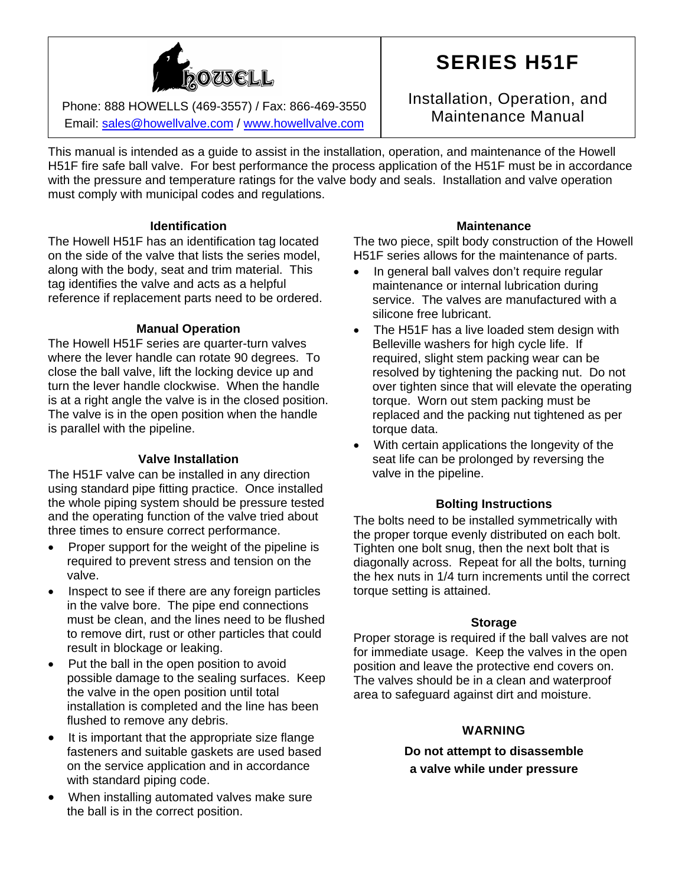

Phone: 888 HOWELLS (469-3557) / Fax: 866-469-3550 Maintenance Manual Phone: 888 HOWELLS (469-3557) / Fax: 866-469-3550 Email: [sales@howellvalve.com](mailto:sales@howellvalve.com) / [www.howellvalve.com](http://www.howellvalve.com/)

# **SERIES H51F**

Installation, Operation, and

This manual is intended as a guide to assist in the installation, operation, and maintenance of the Howell H51F fire safe ball valve. For best performance the process application of the H51F must be in accordance with the pressure and temperature ratings for the valve body and seals. Installation and valve operation must comply with municipal codes and regulations.

## **Identification**

The Howell H51F has an identification tag located on the side of the valve that lists the series model, along with the body, seat and trim material. This tag identifies the valve and acts as a helpful reference if replacement parts need to be ordered.

## **Manual Operation**

The Howell H51F series are quarter-turn valves where the lever handle can rotate 90 degrees. To close the ball valve, lift the locking device up and turn the lever handle clockwise. When the handle is at a right angle the valve is in the closed position. The valve is in the open position when the handle is parallel with the pipeline.

## **Valve Installation**

The H51F valve can be installed in any direction using standard pipe fitting practice. Once installed the whole piping system should be pressure tested and the operating function of the valve tried about three times to ensure correct performance.

- Proper support for the weight of the pipeline is required to prevent stress and tension on the valve.
- Inspect to see if there are any foreign particles in the valve bore. The pipe end connections must be clean, and the lines need to be flushed to remove dirt, rust or other particles that could result in blockage or leaking.
- Put the ball in the open position to avoid possible damage to the sealing surfaces. Keep the valve in the open position until total installation is completed and the line has been flushed to remove any debris.
- It is important that the appropriate size flange fasteners and suitable gaskets are used based on the service application and in accordance with standard piping code.
- When installing automated valves make sure the ball is in the correct position.

## **Maintenance**

The two piece, spilt body construction of the Howell H51F series allows for the maintenance of parts.

- In general ball valves don't require requiar maintenance or internal lubrication during service. The valves are manufactured with a silicone free lubricant.
- The H51F has a live loaded stem design with Belleville washers for high cycle life. If required, slight stem packing wear can be resolved by tightening the packing nut. Do not over tighten since that will elevate the operating torque. Worn out stem packing must be replaced and the packing nut tightened as per torque data.
- With certain applications the longevity of the seat life can be prolonged by reversing the valve in the pipeline.

## **Bolting Instructions**

The bolts need to be installed symmetrically with the proper torque evenly distributed on each bolt. Tighten one bolt snug, then the next bolt that is diagonally across. Repeat for all the bolts, turning the hex nuts in 1/4 turn increments until the correct torque setting is attained.

## **Storage**

Proper storage is required if the ball valves are not for immediate usage. Keep the valves in the open position and leave the protective end covers on. The valves should be in a clean and waterproof area to safeguard against dirt and moisture.

## **WARNING**

**Do not attempt to disassemble a valve while under pressure**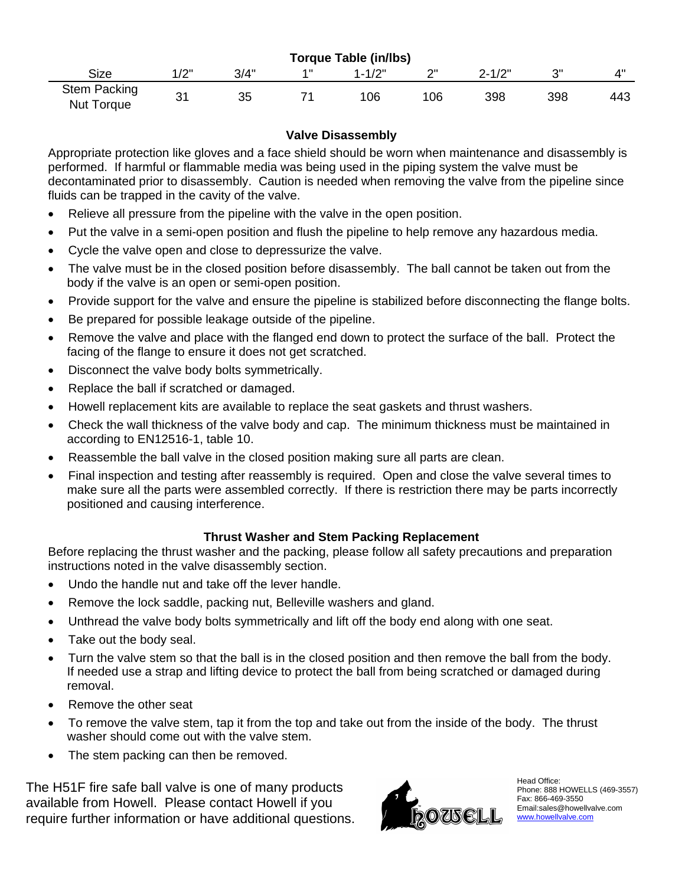| <b>Torque Table (in/lbs)</b>             |      |      |     |            |     |            |     |     |
|------------------------------------------|------|------|-----|------------|-----|------------|-----|-----|
| Size                                     | 1/2" | 3/4" | 4 H | $1 - 1/2"$ | ייר | $2 - 1/2"$ | າ"  |     |
| <b>Stem Packing</b><br><b>Nut Torque</b> | 31   | 35   |     | 106        | 106 | 398        | 398 | 443 |

## **Valve Disassembly**

Appropriate protection like gloves and a face shield should be worn when maintenance and disassembly is performed. If harmful or flammable media was being used in the piping system the valve must be decontaminated prior to disassembly. Caution is needed when removing the valve from the pipeline since fluids can be trapped in the cavity of the valve.

- Relieve all pressure from the pipeline with the valve in the open position.
- Put the valve in a semi-open position and flush the pipeline to help remove any hazardous media.
- Cycle the valve open and close to depressurize the valve.
- The valve must be in the closed position before disassembly. The ball cannot be taken out from the body if the valve is an open or semi-open position.
- Provide support for the valve and ensure the pipeline is stabilized before disconnecting the flange bolts.
- Be prepared for possible leakage outside of the pipeline.
- Remove the valve and place with the flanged end down to protect the surface of the ball. Protect the facing of the flange to ensure it does not get scratched.
- Disconnect the valve body bolts symmetrically.
- Replace the ball if scratched or damaged.
- Howell replacement kits are available to replace the seat gaskets and thrust washers.
- Check the wall thickness of the valve body and cap. The minimum thickness must be maintained in according to EN12516-1, table 10.
- Reassemble the ball valve in the closed position making sure all parts are clean.
- Final inspection and testing after reassembly is required. Open and close the valve several times to make sure all the parts were assembled correctly. If there is restriction there may be parts incorrectly positioned and causing interference.

## **Thrust Washer and Stem Packing Replacement**

Before replacing the thrust washer and the packing, please follow all safety precautions and preparation instructions noted in the valve disassembly section.

- Undo the handle nut and take off the lever handle.
- Remove the lock saddle, packing nut, Belleville washers and gland.
- Unthread the valve body bolts symmetrically and lift off the body end along with one seat.
- Take out the body seal.
- Turn the valve stem so that the ball is in the closed position and then remove the ball from the body. If needed use a strap and lifting device to protect the ball from being scratched or damaged during removal.
- Remove the other seat
- To remove the valve stem, tap it from the top and take out from the inside of the body. The thrust washer should come out with the valve stem.
- The stem packing can then be removed.

The H51F fire safe ball valve is one of many products available from Howell. Please contact Howell if you require further information or have additional questions.



Head Office: Phone: 888 HOWELLS (469-3557) Fax: 866-469-3550 Email:sales@howellvalve.com [www.howellvalve.com](http://www.howellvalve.com/)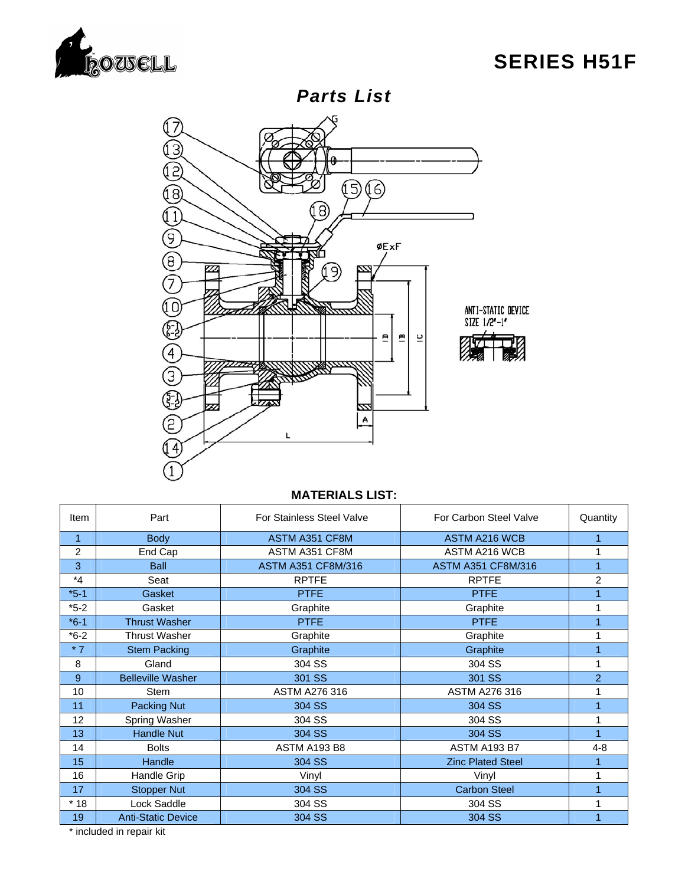

## **SERIES H51F**



## **MATERIALS LIST:**

| Item         | Part                      | <b>For Stainless Steel Valve</b> | For Carbon Steel Valve    | Quantity |
|--------------|---------------------------|----------------------------------|---------------------------|----------|
| $\mathbf{1}$ | <b>Body</b>               | ASTM A351 CF8M                   | <b>ASTM A216 WCB</b>      |          |
| 2            | End Cap                   | ASTM A351 CF8M                   | <b>ASTM A216 WCB</b>      | 1        |
| 3            | <b>Ball</b>               | <b>ASTM A351 CF8M/316</b>        | <b>ASTM A351 CF8M/316</b> |          |
| $*_{4}$      | Seat                      | <b>RPTFE</b>                     | <b>RPTFE</b>              | 2        |
| $*5-1$       | Gasket                    | <b>PTFE</b>                      | <b>PTFE</b>               |          |
| $*5-2$       | Gasket                    | Graphite                         | Graphite                  |          |
| $*6-1$       | <b>Thrust Washer</b>      | <b>PTFE</b>                      | <b>PTFE</b>               |          |
| $*6-2$       | <b>Thrust Washer</b>      | Graphite                         | Graphite                  |          |
| $*7$         | <b>Stem Packing</b>       | Graphite                         | Graphite                  |          |
| 8            | Gland                     | 304 SS                           | 304 SS                    | 1        |
| 9            | <b>Belleville Washer</b>  | 301 SS                           | 301 SS                    | 2        |
| 10           | Stem                      | <b>ASTM A276 316</b>             | <b>ASTM A276 316</b>      |          |
| 11           | Packing Nut               | 304 SS                           | 304 SS                    | 1        |
| 12           | Spring Washer             | 304 SS                           | 304 SS                    | 1        |
| 13           | <b>Handle Nut</b>         | 304 SS                           | 304 SS                    |          |
| 14           | <b>Bolts</b>              | <b>ASTM A193 B8</b>              | <b>ASTM A193 B7</b>       | $4 - 8$  |
| 15           | Handle                    | 304 SS                           | <b>Zinc Plated Steel</b>  |          |
| 16           | Handle Grip               | Vinyl                            | Vinyl                     |          |
| 17           | <b>Stopper Nut</b>        | 304 SS                           | <b>Carbon Steel</b>       |          |
| $*18$        | Lock Saddle               | 304 SS                           | 304 SS                    |          |
| 19           | <b>Anti-Static Device</b> | 304 SS                           | 304 SS                    |          |

\* included in repair kit